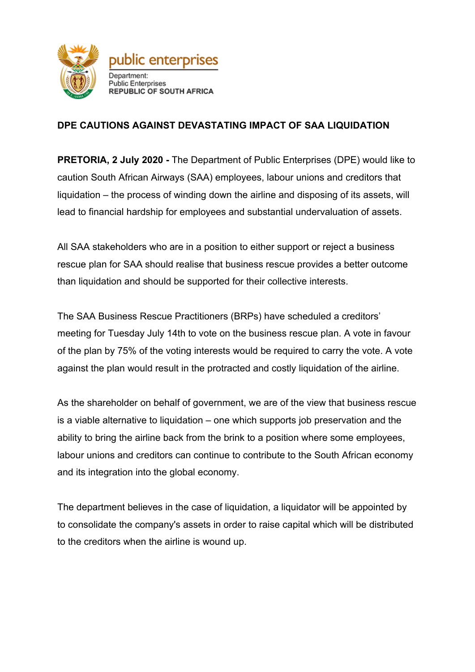

## **DPE CAUTIONS AGAINST DEVASTATING IMPACT OF SAA LIQUIDATION**

**PRETORIA, 2 July 2020 -** The Department of Public Enterprises (DPE) would like to caution South African Airways (SAA) employees, labour unions and creditors that liquidation – the process of winding down the airline and disposing of its assets, will lead to financial hardship for employees and substantial undervaluation of assets.

All SAA stakeholders who are in a position to either support or reject a business rescue plan for SAA should realise that business rescue provides a better outcome than liquidation and should be supported for their collective interests.

The SAA Business Rescue Practitioners (BRPs) have scheduled a creditors' meeting for Tuesday July 14th to vote on the business rescue plan. A vote in favour of the plan by 75% of the voting interests would be required to carry the vote. A vote against the plan would result in the protracted and costly liquidation of the airline.

As the shareholder on behalf of government, we are of the view that business rescue is a viable alternative to liquidation – one which supports job preservation and the ability to bring the airline back from the brink to a position where some employees, labour unions and creditors can continue to contribute to the South African economy and its integration into the global economy.

The department believes in the case of liquidation, a liquidator will be appointed by to consolidate the company's assets in order to raise capital which will be distributed to the creditors when the airline is wound up.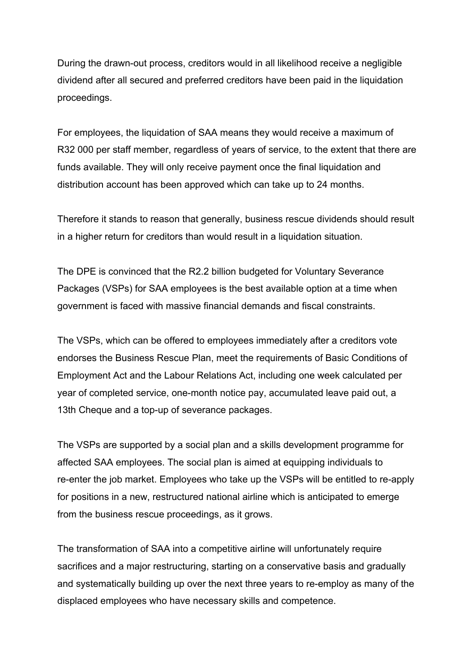During the drawn-out process, creditors would in all likelihood receive a negligible dividend after all secured and preferred creditors have been paid in the liquidation proceedings.

For employees, the liquidation of SAA means they would receive a maximum of R32 000 per staff member, regardless of years of service, to the extent that there are funds available. They will only receive payment once the final liquidation and distribution account has been approved which can take up to 24 months.

Therefore it stands to reason that generally, business rescue dividends should result in a higher return for creditors than would result in a liquidation situation.

The DPE is convinced that the R2.2 billion budgeted for Voluntary Severance Packages (VSPs) for SAA employees is the best available option at a time when government is faced with massive financial demands and fiscal constraints.

The VSPs, which can be offered to employees immediately after a creditors vote endorses the Business Rescue Plan, meet the requirements of Basic Conditions of Employment Act and the Labour Relations Act, including one week calculated per year of completed service, one-month notice pay, accumulated leave paid out, a 13th Cheque and a top-up of severance packages.

The VSPs are supported by a social plan and a skills development programme for affected SAA employees. The social plan is aimed at equipping individuals to re-enter the job market. Employees who take up the VSPs will be entitled to re-apply for positions in a new, restructured national airline which is anticipated to emerge from the business rescue proceedings, as it grows.

The transformation of SAA into a competitive airline will unfortunately require sacrifices and a major restructuring, starting on a conservative basis and gradually and systematically building up over the next three years to re-employ as many of the displaced employees who have necessary skills and competence.